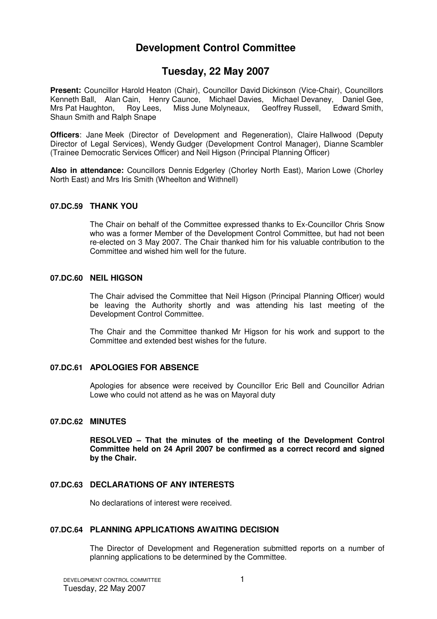# **Development Control Committee**

# **Tuesday, 22 May 2007**

**Present:** Councillor Harold Heaton (Chair), Councillor David Dickinson (Vice-Chair), Councillors Kenneth Ball, Alan Cain, Henry Caunce, Michael Davies, Michael Devaney, Daniel Gee,<br>Mrs Pat Haughton, Roy Lees, Miss June Molyneaux, Geoffrey Russell, Edward Smith, Miss June Molyneaux, Geoffrey Russell, Edward Smith, Shaun Smith and Ralph Snape

**Officers**: Jane Meek (Director of Development and Regeneration), Claire Hallwood (Deputy Director of Legal Services), Wendy Gudger (Development Control Manager), Dianne Scambler (Trainee Democratic Services Officer) and Neil Higson (Principal Planning Officer)

**Also in attendance:** Councillors Dennis Edgerley (Chorley North East), Marion Lowe (Chorley North East) and Mrs Iris Smith (Wheelton and Withnell)

### **07.DC.59 THANK YOU**

The Chair on behalf of the Committee expressed thanks to Ex-Councillor Chris Snow who was a former Member of the Development Control Committee, but had not been re-elected on 3 May 2007. The Chair thanked him for his valuable contribution to the Committee and wished him well for the future.

### **07.DC.60 NEIL HIGSON**

The Chair advised the Committee that Neil Higson (Principal Planning Officer) would be leaving the Authority shortly and was attending his last meeting of the Development Control Committee.

The Chair and the Committee thanked Mr Higson for his work and support to the Committee and extended best wishes for the future.

# **07.DC.61 APOLOGIES FOR ABSENCE**

Apologies for absence were received by Councillor Eric Bell and Councillor Adrian Lowe who could not attend as he was on Mayoral duty

### **07.DC.62 MINUTES**

**RESOLVED – That the minutes of the meeting of the Development Control Committee held on 24 April 2007 be confirmed as a correct record and signed by the Chair.**

# **07.DC.63 DECLARATIONS OF ANY INTERESTS**

No declarations of interest were received.

### **07.DC.64 PLANNING APPLICATIONS AWAITING DECISION**

The Director of Development and Regeneration submitted reports on a number of planning applications to be determined by the Committee.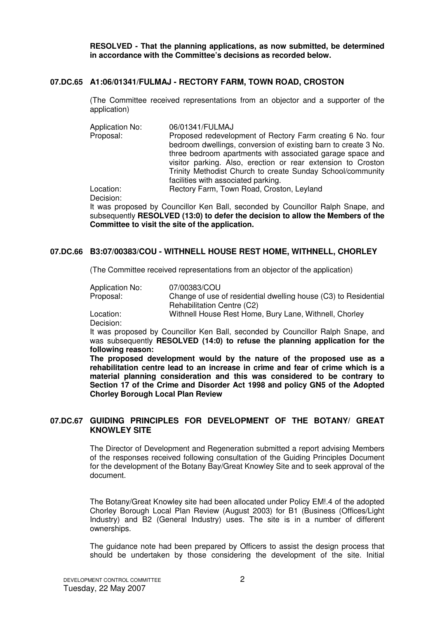**RESOLVED - That the planning applications, as now submitted, be determined in accordance with the Committee's decisions as recorded below.** 

### **07.DC.65 A1:06/01341/FULMAJ - RECTORY FARM, TOWN ROAD, CROSTON**

(The Committee received representations from an objector and a supporter of the application)

Application No: 06/01341/FULMAJ<br>Proposal: Proposed redevelo Proposed redevelopment of Rectory Farm creating 6 No. four bedroom dwellings, conversion of existing barn to create 3 No. three bedroom apartments with associated garage space and visitor parking. Also, erection or rear extension to Croston Trinity Methodist Church to create Sunday School/community facilities with associated parking. Location: Rectory Farm, Town Road, Croston, Leyland

Decision:

It was proposed by Councillor Ken Ball, seconded by Councillor Ralph Snape, and subsequently **RESOLVED (13:0) to defer the decision to allow the Members of the Committee to visit the site of the application.**

# **07.DC.66 B3:07/00383/COU - WITHNELL HOUSE REST HOME, WITHNELL, CHORLEY**

(The Committee received representations from an objector of the application)

| Application No: | 07/00383/COU                                                    |
|-----------------|-----------------------------------------------------------------|
| Proposal:       | Change of use of residential dwelling house (C3) to Residential |
|                 | Rehabilitation Centre (C2)                                      |
| Location:       | Withnell House Rest Home, Bury Lane, Withnell, Chorley          |
| Decision:       |                                                                 |

Decision:

It was proposed by Councillor Ken Ball, seconded by Councillor Ralph Snape, and was subsequently **RESOLVED (14:0) to refuse the planning application for the following reason:** 

**The proposed development would by the nature of the proposed use as a rehabilitation centre lead to an increase in crime and fear of crime which is a material planning consideration and this was considered to be contrary to Section 17 of the Crime and Disorder Act 1998 and policy GN5 of the Adopted Chorley Borough Local Plan Review**

# **07.DC.67 GUIDING PRINCIPLES FOR DEVELOPMENT OF THE BOTANY/ GREAT KNOWLEY SITE**

The Director of Development and Regeneration submitted a report advising Members of the responses received following consultation of the Guiding Principles Document for the development of the Botany Bay/Great Knowley Site and to seek approval of the document.

The Botany/Great Knowley site had been allocated under Policy EM!.4 of the adopted Chorley Borough Local Plan Review (August 2003) for B1 (Business (Offices/Light Industry) and B2 (General Industry) uses. The site is in a number of different ownerships.

The guidance note had been prepared by Officers to assist the design process that should be undertaken by those considering the development of the site. Initial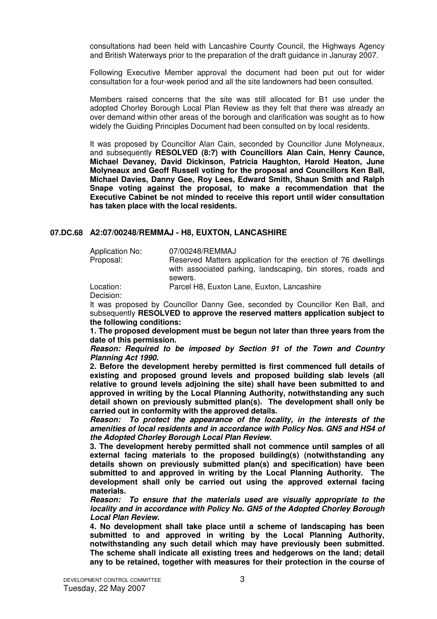consultations had been held with Lancashire County Council, the Highways Agency and British Waterways prior to the preparation of the draft guidance in Januray 2007.

Following Executive Member approval the document had been put out for wider consultation for a four-week period and all the site landowners had been consulted.

Members raised concerns that the site was still allocated for B1 use under the adopted Chorley Borough Local Plan Review as they felt that there was already an over demand within other areas of the borough and clarification was sought as to how widely the Guiding Principles Document had been consulted on by local residents.

It was proposed by Councillor Alan Cain, seconded by Councillor June Molyneaux, and subsequently **RESOLVED (8:7) with Councillors Alan Cain, Henry Caunce, Michael Devaney, David Dickinson, Patricia Haughton, Harold Heaton, June Molyneaux and Geoff Russell voting for the proposal and Councillors Ken Ball, Michael Davies, Danny Gee, Roy Lees, Edward Smith, Shaun Smith and Ralph Snape voting against the proposal, to make a recommendation that the Executive Cabinet be not minded to receive this report until wider consultation has taken place with the local residents.**

### **07.DC.68 A2:07/00248/REMMAJ - H8, EUXTON, LANCASHIRE**

Application No: 07/00248/REMMAJ

Proposal: Reserved Matters application for the erection of 76 dwellings with associated parking, landscaping, bin stores, roads and sewers.

Location: Parcel H8, Euxton Lane, Euxton, Lancashire Decision:

It was proposed by Councillor Danny Gee, seconded by Councillor Ken Ball, and subsequently **RESOLVED to approve the reserved matters application subject to the following conditions:** 

**1. The proposed development must be begun not later than three years from the date of this permission.** 

**Reason: Required to be imposed by Section 91 of the Town and Country Planning Act 1990.**

**2. Before the development hereby permitted is first commenced full details of existing and proposed ground levels and proposed building slab levels (all relative to ground levels adjoining the site) shall have been submitted to and approved in writing by the Local Planning Authority, notwithstanding any such detail shown on previously submitted plan(s). The development shall only be carried out in conformity with the approved details.** 

**Reason: To protect the appearance of the locality, in the interests of the amenities of local residents and in accordance with Policy Nos. GN5 and HS4 of the Adopted Chorley Borough Local Plan Review.**

**3. The development hereby permitted shall not commence until samples of all external facing materials to the proposed building(s) (notwithstanding any details shown on previously submitted plan(s) and specification) have been submitted to and approved in writing by the Local Planning Authority. The development shall only be carried out using the approved external facing materials.** 

**Reason: To ensure that the materials used are visually appropriate to the locality and in accordance with Policy No. GN5 of the Adopted Chorley Borough Local Plan Review.**

**4. No development shall take place until a scheme of landscaping has been submitted to and approved in writing by the Local Planning Authority, notwithstanding any such detail which may have previously been submitted. The scheme shall indicate all existing trees and hedgerows on the land; detail any to be retained, together with measures for their protection in the course of**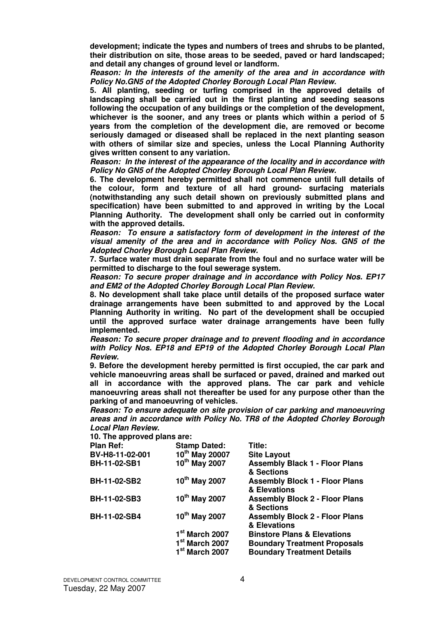**development; indicate the types and numbers of trees and shrubs to be planted, their distribution on site, those areas to be seeded, paved or hard landscaped; and detail any changes of ground level or landform.**

**Reason: In the interests of the amenity of the area and in accordance with Policy No.GN5 of the Adopted Chorley Borough Local Plan Review.**

**5. All planting, seeding or turfing comprised in the approved details of landscaping shall be carried out in the first planting and seeding seasons following the occupation of any buildings or the completion of the development, whichever is the sooner, and any trees or plants which within a period of 5 years from the completion of the development die, are removed or become seriously damaged or diseased shall be replaced in the next planting season with others of similar size and species, unless the Local Planning Authority gives written consent to any variation.** 

**Reason: In the interest of the appearance of the locality and in accordance with Policy No GN5 of the Adopted Chorley Borough Local Plan Review.**

**6. The development hereby permitted shall not commence until full details of the colour, form and texture of all hard ground- surfacing materials (notwithstanding any such detail shown on previously submitted plans and specification) have been submitted to and approved in writing by the Local Planning Authority. The development shall only be carried out in conformity with the approved details.** 

**Reason: To ensure a satisfactory form of development in the interest of the visual amenity of the area and in accordance with Policy Nos. GN5 of the Adopted Chorley Borough Local Plan Review.**

**7. Surface water must drain separate from the foul and no surface water will be permitted to discharge to the foul sewerage system.**

**Reason: To secure proper drainage and in accordance with Policy Nos. EP17 and EM2 of the Adopted Chorley Borough Local Plan Review.** 

**8. No development shall take place until details of the proposed surface water drainage arrangements have been submitted to and approved by the Local Planning Authority in writing. No part of the development shall be occupied until the approved surface water drainage arrangements have been fully implemented.** 

**Reason: To secure proper drainage and to prevent flooding and in accordance with Policy Nos. EP18 and EP19 of the Adopted Chorley Borough Local Plan Review.**

**9. Before the development hereby permitted is first occupied, the car park and vehicle manoeuvring areas shall be surfaced or paved, drained and marked out all in accordance with the approved plans. The car park and vehicle manoeuvring areas shall not thereafter be used for any purpose other than the parking of and manoeuvring of vehicles.** 

**Reason: To ensure adequate on site provision of car parking and manoeuvring areas and in accordance with Policy No. TR8 of the Adopted Chorley Borough Local Plan Review.** 

**10. The approved plans are:** 

| $191.110$ applyted plane arol |                            |                                                       |
|-------------------------------|----------------------------|-------------------------------------------------------|
| <b>Plan Ref:</b>              | <b>Stamp Dated:</b>        | Title:                                                |
| BV-H8-11-02-001               | 10 <sup>th</sup> May 20007 | <b>Site Layout</b>                                    |
| BH-11-02-SB1                  | 10 <sup>th</sup> May 2007  | <b>Assembly Black 1 - Floor Plans</b><br>& Sections   |
| <b>BH-11-02-SB2</b>           | 10 <sup>th</sup> May 2007  | <b>Assembly Block 1 - Floor Plans</b><br>& Elevations |
| BH-11-02-SB3                  | 10 <sup>th</sup> May 2007  | <b>Assembly Block 2 - Floor Plans</b><br>& Sections   |
| <b>BH-11-02-SB4</b>           | 10 <sup>th</sup> May 2007  | <b>Assembly Block 2 - Floor Plans</b><br>& Elevations |
|                               | 1st March 2007             | <b>Binstore Plans &amp; Elevations</b>                |
|                               | 1 <sup>st</sup> March 2007 | <b>Boundary Treatment Proposals</b>                   |
|                               | 1 <sup>st</sup> March 2007 | <b>Boundary Treatment Details</b>                     |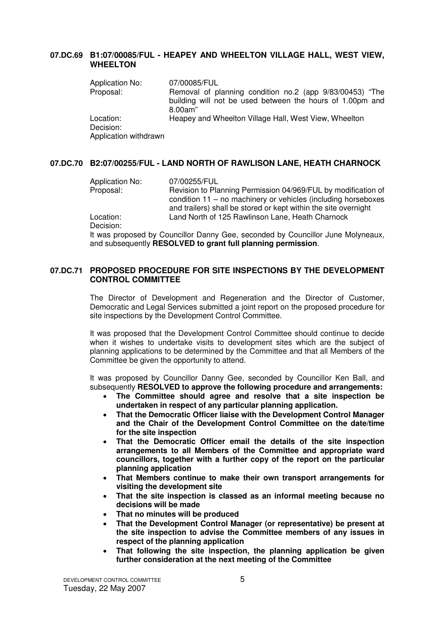### **07.DC.69 B1:07/00085/FUL - HEAPEY AND WHEELTON VILLAGE HALL, WEST VIEW, WHEELTON**

| <b>Application No:</b>             | 07/00085/FUL                                                                                                                     |
|------------------------------------|----------------------------------------------------------------------------------------------------------------------------------|
| Proposal:                          | Removal of planning condition no.2 (app 9/83/00453) "The<br>building will not be used between the hours of 1.00pm and<br>8.00am" |
| Location:                          | Heapey and Wheelton Village Hall, West View, Wheelton                                                                            |
| Decision:<br>Application withdrawn |                                                                                                                                  |

# **07.DC.70 B2:07/00255/FUL - LAND NORTH OF RAWLISON LANE, HEATH CHARNOCK**

Application No: 07/00255/FUL<br>Proposal: Revision to Pla Revision to Planning Permission 04/969/FUL by modification of condition 11 – no machinery or vehicles (including horseboxes and trailers) shall be stored or kept within the site overnight Location: Land North of 125 Rawlinson Lane, Heath Charnock

Decision:

It was proposed by Councillor Danny Gee, seconded by Councillor June Molyneaux, and subsequently **RESOLVED to grant full planning permission**.

### **07.DC.71 PROPOSED PROCEDURE FOR SITE INSPECTIONS BY THE DEVELOPMENT CONTROL COMMITTEE**

The Director of Development and Regeneration and the Director of Customer, Democratic and Legal Services submitted a joint report on the proposed procedure for site inspections by the Development Control Committee.

It was proposed that the Development Control Committee should continue to decide when it wishes to undertake visits to development sites which are the subject of planning applications to be determined by the Committee and that all Members of the Committee be given the opportunity to attend.

It was proposed by Councillor Danny Gee, seconded by Councillor Ken Ball, and subsequently **RESOLVED to approve the following procedure and arrangements:** 

- **The Committee should agree and resolve that a site inspection be undertaken in respect of any particular planning application.**
- **That the Democratic Officer liaise with the Development Control Manager and the Chair of the Development Control Committee on the date/time for the site inspection**
- **That the Democratic Officer email the details of the site inspection arrangements to all Members of the Committee and appropriate ward councillors, together with a further copy of the report on the particular planning application**
- **That Members continue to make their own transport arrangements for visiting the development site**
- **That the site inspection is classed as an informal meeting because no decisions will be made**
- **That no minutes will be produced**
- **That the Development Control Manager (or representative) be present at the site inspection to advise the Committee members of any issues in respect of the planning application**
- **That following the site inspection, the planning application be given further consideration at the next meeting of the Committee**